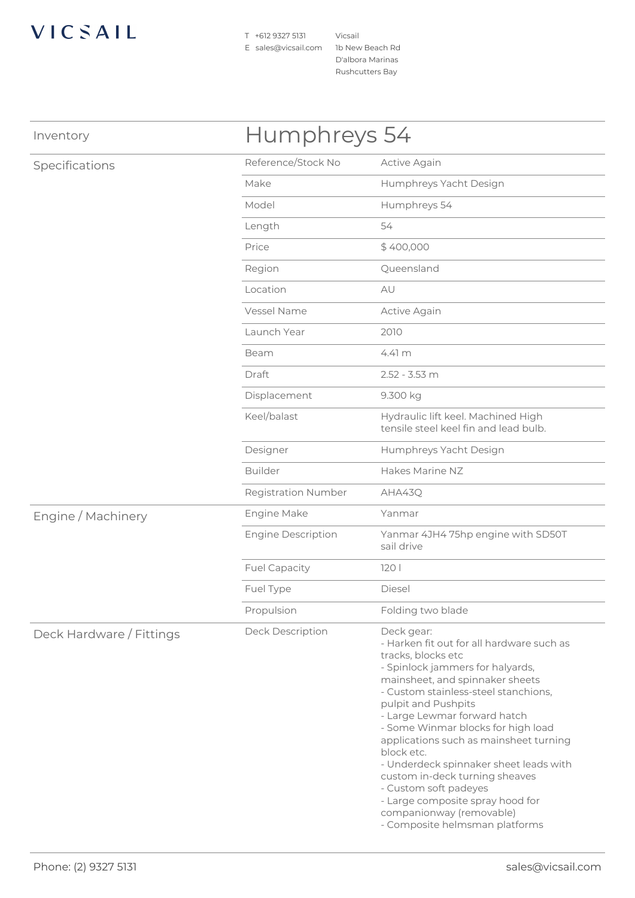## VICSAIL

T +612 9327 5131 E sales@vicsail.com 1b New Beach Rd

Vicsail D'albora Marinas Rushcutters Bay

| Inventory                | Humphreys 54               |                                                                                                                                                                                                                                                                                                                                                                                                                                                                                                                                                          |  |
|--------------------------|----------------------------|----------------------------------------------------------------------------------------------------------------------------------------------------------------------------------------------------------------------------------------------------------------------------------------------------------------------------------------------------------------------------------------------------------------------------------------------------------------------------------------------------------------------------------------------------------|--|
| Specifications           | Reference/Stock No         | Active Again                                                                                                                                                                                                                                                                                                                                                                                                                                                                                                                                             |  |
|                          | Make                       | Humphreys Yacht Design                                                                                                                                                                                                                                                                                                                                                                                                                                                                                                                                   |  |
|                          | Model                      | Humphreys 54                                                                                                                                                                                                                                                                                                                                                                                                                                                                                                                                             |  |
|                          | Length                     | 54                                                                                                                                                                                                                                                                                                                                                                                                                                                                                                                                                       |  |
|                          | Price                      | \$400,000                                                                                                                                                                                                                                                                                                                                                                                                                                                                                                                                                |  |
|                          | Region                     | Queensland                                                                                                                                                                                                                                                                                                                                                                                                                                                                                                                                               |  |
|                          | Location                   | AU                                                                                                                                                                                                                                                                                                                                                                                                                                                                                                                                                       |  |
|                          | Vessel Name                | Active Again                                                                                                                                                                                                                                                                                                                                                                                                                                                                                                                                             |  |
|                          | Launch Year                | 2010                                                                                                                                                                                                                                                                                                                                                                                                                                                                                                                                                     |  |
|                          | Beam                       | 4.41 <sub>m</sub>                                                                                                                                                                                                                                                                                                                                                                                                                                                                                                                                        |  |
|                          | Draft                      | $2.52 - 3.53$ m                                                                                                                                                                                                                                                                                                                                                                                                                                                                                                                                          |  |
|                          | Displacement               | 9.300 kg                                                                                                                                                                                                                                                                                                                                                                                                                                                                                                                                                 |  |
|                          | Keel/balast                | Hydraulic lift keel. Machined High<br>tensile steel keel fin and lead bulb.                                                                                                                                                                                                                                                                                                                                                                                                                                                                              |  |
|                          | Designer                   | Humphreys Yacht Design                                                                                                                                                                                                                                                                                                                                                                                                                                                                                                                                   |  |
|                          | <b>Builder</b>             | Hakes Marine NZ                                                                                                                                                                                                                                                                                                                                                                                                                                                                                                                                          |  |
|                          | <b>Registration Number</b> | AHA43Q                                                                                                                                                                                                                                                                                                                                                                                                                                                                                                                                                   |  |
| Engine / Machinery       | Engine Make                | Yanmar                                                                                                                                                                                                                                                                                                                                                                                                                                                                                                                                                   |  |
|                          | <b>Engine Description</b>  | Yanmar 4JH4 75hp engine with SD50T<br>sail drive                                                                                                                                                                                                                                                                                                                                                                                                                                                                                                         |  |
|                          | <b>Fuel Capacity</b>       | 1201                                                                                                                                                                                                                                                                                                                                                                                                                                                                                                                                                     |  |
|                          | Fuel Type                  | Diesel                                                                                                                                                                                                                                                                                                                                                                                                                                                                                                                                                   |  |
|                          | Propulsion                 | Folding two blade                                                                                                                                                                                                                                                                                                                                                                                                                                                                                                                                        |  |
| Deck Hardware / Fittings | Deck Description           | Deck gear:<br>- Harken fit out for all hardware such as<br>tracks, blocks etc<br>- Spinlock jammers for halyards,<br>mainsheet, and spinnaker sheets<br>- Custom stainless-steel stanchions,<br>pulpit and Pushpits<br>- Large Lewmar forward hatch<br>- Some Winmar blocks for high load<br>applications such as mainsheet turning<br>block etc.<br>- Underdeck spinnaker sheet leads with<br>custom in-deck turning sheaves<br>- Custom soft padeyes<br>- Large composite spray hood for<br>companionway (removable)<br>- Composite helmsman platforms |  |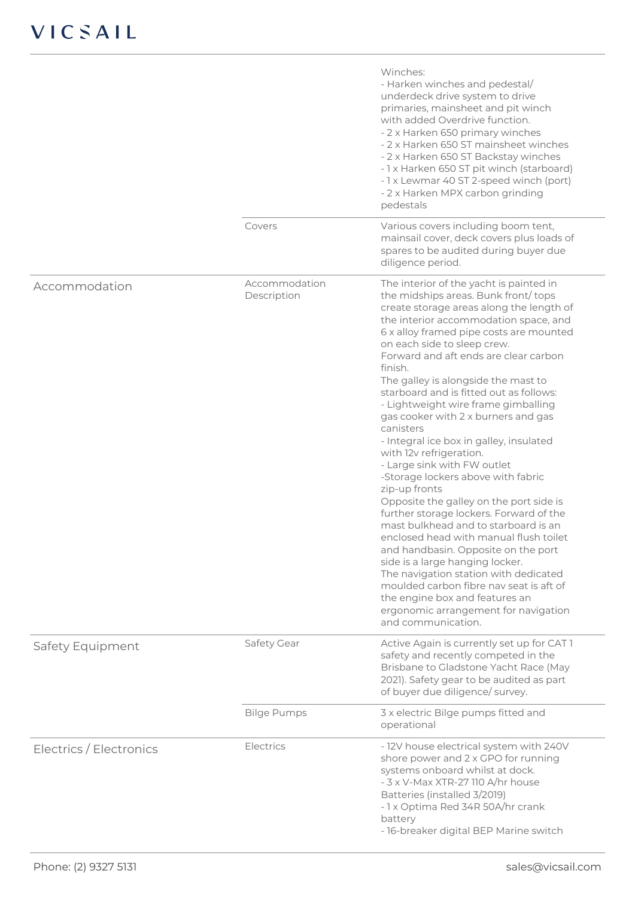|                         |                              | Winches:<br>- Harken winches and pedestal/<br>underdeck drive system to drive<br>primaries, mainsheet and pit winch<br>with added Overdrive function.<br>- 2 x Harken 650 primary winches<br>- 2 x Harken 650 ST mainsheet winches<br>- 2 x Harken 650 ST Backstay winches<br>- 1 x Harken 650 ST pit winch (starboard)<br>- 1 x Lewmar 40 ST 2-speed winch (port)<br>- 2 x Harken MPX carbon grinding<br>pedestals                                                                                                                                                                                                                                                                                                                                                                                                                                                                                                                                                                                                                                                              |
|-------------------------|------------------------------|----------------------------------------------------------------------------------------------------------------------------------------------------------------------------------------------------------------------------------------------------------------------------------------------------------------------------------------------------------------------------------------------------------------------------------------------------------------------------------------------------------------------------------------------------------------------------------------------------------------------------------------------------------------------------------------------------------------------------------------------------------------------------------------------------------------------------------------------------------------------------------------------------------------------------------------------------------------------------------------------------------------------------------------------------------------------------------|
|                         | Covers                       | Various covers including boom tent,<br>mainsail cover, deck covers plus loads of<br>spares to be audited during buyer due<br>diligence period.                                                                                                                                                                                                                                                                                                                                                                                                                                                                                                                                                                                                                                                                                                                                                                                                                                                                                                                                   |
| Accommodation           | Accommodation<br>Description | The interior of the yacht is painted in<br>the midships areas. Bunk front/tops<br>create storage areas along the length of<br>the interior accommodation space, and<br>6 x alloy framed pipe costs are mounted<br>on each side to sleep crew.<br>Forward and aft ends are clear carbon<br>finish.<br>The galley is alongside the mast to<br>starboard and is fitted out as follows:<br>- Lightweight wire frame gimballing<br>gas cooker with 2 x burners and gas<br>canisters<br>- Integral ice box in galley, insulated<br>with 12v refrigeration.<br>- Large sink with FW outlet<br>-Storage lockers above with fabric<br>zip-up fronts<br>Opposite the galley on the port side is<br>further storage lockers. Forward of the<br>mast bulkhead and to starboard is an<br>enclosed head with manual flush toilet<br>and handbasin. Opposite on the port<br>side is a large hanging locker.<br>The navigation station with dedicated<br>moulded carbon fibre nay seat is aft of<br>the engine box and features an<br>ergonomic arrangement for navigation<br>and communication. |
| Safety Equipment        | Safety Gear                  | Active Again is currently set up for CAT1<br>safety and recently competed in the<br>Brisbane to Gladstone Yacht Race (May<br>2021). Safety gear to be audited as part<br>of buyer due diligence/ survey.                                                                                                                                                                                                                                                                                                                                                                                                                                                                                                                                                                                                                                                                                                                                                                                                                                                                         |
|                         | <b>Bilge Pumps</b>           | 3 x electric Bilge pumps fitted and<br>operational                                                                                                                                                                                                                                                                                                                                                                                                                                                                                                                                                                                                                                                                                                                                                                                                                                                                                                                                                                                                                               |
| Electrics / Electronics | Electrics                    | - 12V house electrical system with 240V<br>shore power and 2 x GPO for running<br>systems onboard whilst at dock.<br>- 3 x V-Max XTR-27 110 A/hr house<br>Batteries (installed 3/2019)<br>- 1 x Optima Red 34R 50A/hr crank<br>battery<br>- 16-breaker digital BEP Marine switch                                                                                                                                                                                                                                                                                                                                                                                                                                                                                                                                                                                                                                                                                                                                                                                                 |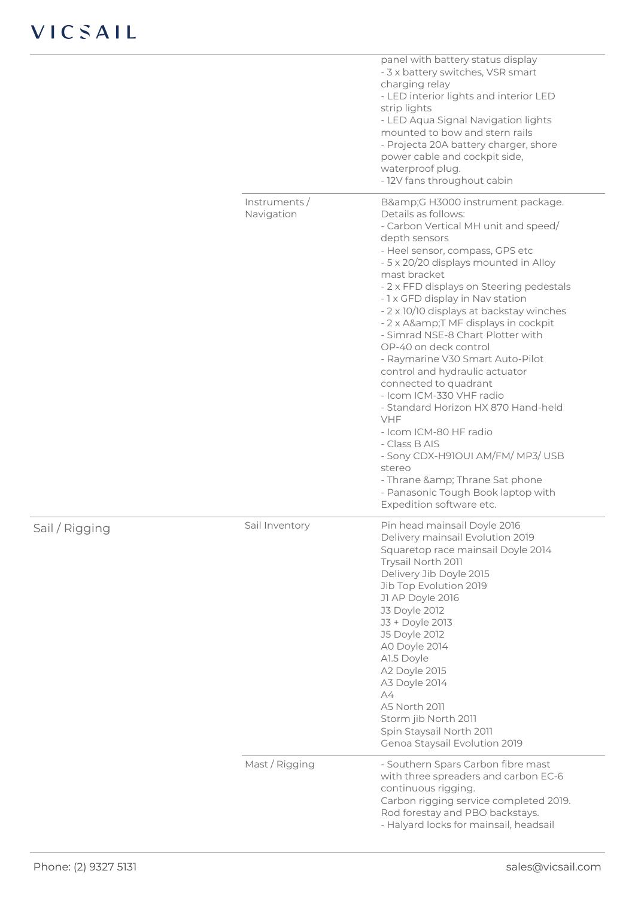## VICSAIL

|                            | panel with battery status display<br>- 3 x battery switches, VSR smart<br>charging relay<br>- LED interior lights and interior LED<br>strip lights<br>- LED Aqua Signal Navigation lights<br>mounted to bow and stern rails<br>- Projecta 20A battery charger, shore<br>power cable and cockpit side,<br>waterproof plug.<br>- 12V fans throughout cabin                                                                                                                                                                                                                                                                                                                                                                                                                                                           |
|----------------------------|--------------------------------------------------------------------------------------------------------------------------------------------------------------------------------------------------------------------------------------------------------------------------------------------------------------------------------------------------------------------------------------------------------------------------------------------------------------------------------------------------------------------------------------------------------------------------------------------------------------------------------------------------------------------------------------------------------------------------------------------------------------------------------------------------------------------|
| Instruments/<br>Navigation | B&G H3000 instrument package.<br>Details as follows:<br>- Carbon Vertical MH unit and speed/<br>depth sensors<br>- Heel sensor, compass, GPS etc<br>- 5 x 20/20 displays mounted in Alloy<br>mast bracket<br>- 2 x FFD displays on Steering pedestals<br>- 1 x GFD display in Nav station<br>- 2 x 10/10 displays at backstay winches<br>- 2 x A&T MF displays in cockpit<br>- Simrad NSE-8 Chart Plotter with<br>OP-40 on deck control<br>- Raymarine V30 Smart Auto-Pilot<br>control and hydraulic actuator<br>connected to quadrant<br>- Icom ICM-330 VHF radio<br>- Standard Horizon HX 870 Hand-held<br><b>VHF</b><br>- Icom ICM-80 HF radio<br>- Class B AIS<br>- Sony CDX-H91OUI AM/FM/ MP3/ USB<br>stereo<br>- Thrane & Thrane Sat phone<br>- Panasonic Tough Book laptop with<br>Expedition software etc. |
| Sail Inventory             | Pin head mainsail Doyle 2016<br>Delivery mainsail Evolution 2019<br>Squaretop race mainsail Doyle 2014<br>Trysail North 2011<br>Delivery Jib Doyle 2015<br>Jib Top Evolution 2019<br>J1 AP Doyle 2016<br><b>J3 Doyle 2012</b><br>J3 + Doyle 2013<br><b>J5 Doyle 2012</b><br>A0 Doyle 2014<br>A1.5 Doyle<br>A2 Doyle 2015<br>A3 Doyle 2014<br>A4<br>A5 North 2011<br>Storm jib North 2011<br>Spin Staysail North 2011<br>Genoa Staysail Evolution 2019                                                                                                                                                                                                                                                                                                                                                              |
| Mast / Rigging             | - Southern Spars Carbon fibre mast<br>with three spreaders and carbon EC-6<br>continuous rigging.<br>Carbon rigging service completed 2019.<br>Rod forestay and PBO backstays.<br>- Halyard locks for mainsail, headsail                                                                                                                                                                                                                                                                                                                                                                                                                                                                                                                                                                                           |

Sail / Rigging